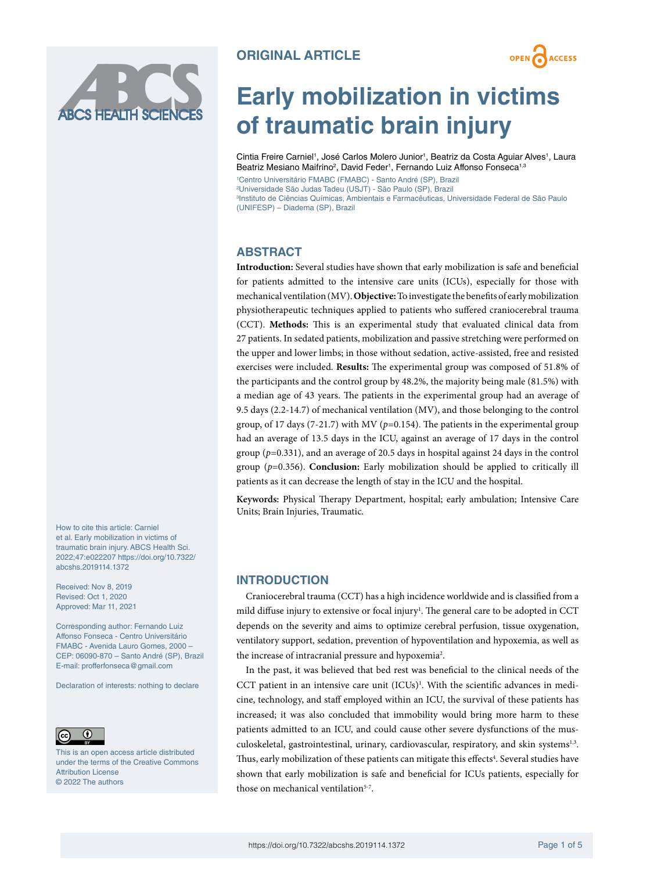



# **Early mobilization in victims of traumatic brain injury**

Cintia Freire Carniel<sup>1</sup>, José Carlos Molero Junior<sup>1</sup>, Beatriz da Costa Aguiar Alves<sup>1</sup>, Laura Beatriz Mesiano Maifrino<sup>2</sup>, David Feder<sup>1</sup>, Fernando Luiz Affonso Fonseca<sup>1,3</sup>

 Centro Universitário FMABC (FMABC) - Santo André (SP), Brazil Universidade São Judas Tadeu (USJT) - São Paulo (SP), Brazil Instituto de Ciências Químicas, Ambientais e Farmacêuticas, Universidade Federal de São Paulo (UNIFESP) – Diadema (SP), Brazil

# **ABSTRACT**

**Introduction:** Several studies have shown that early mobilization is safe and beneficial for patients admitted to the intensive care units (ICUs), especially for those with mechanical ventilation (MV). **Objective:** To investigate the benefits of early mobilization physiotherapeutic techniques applied to patients who suffered craniocerebral trauma (CCT). **Methods:** This is an experimental study that evaluated clinical data from 27 patients. In sedated patients, mobilization and passive stretching were performed on the upper and lower limbs; in those without sedation, active-assisted, free and resisted exercises were included. **Results:** The experimental group was composed of 51.8% of the participants and the control group by 48.2%, the majority being male (81.5%) with a median age of 43 years. The patients in the experimental group had an average of 9.5 days (2.2-14.7) of mechanical ventilation (MV), and those belonging to the control group, of 17 days (7-21.7) with MV (*p*=0.154). The patients in the experimental group had an average of 13.5 days in the ICU, against an average of 17 days in the control group ( $p=0.331$ ), and an average of 20.5 days in hospital against 24 days in the control group (*p*=0.356). **Conclusion:** Early mobilization should be applied to critically ill patients as it can decrease the length of stay in the ICU and the hospital.

**Keywords:** Physical Therapy Department, hospital; early ambulation; Intensive Care Units; Brain Injuries, Traumatic.

# **INTRODUCTION**

Craniocerebral trauma (CCT) has a high incidence worldwide and is classified from a mild diffuse injury to extensive or focal injury<sup>1</sup>. The general care to be adopted in CCT depends on the severity and aims to optimize cerebral perfusion, tissue oxygenation, ventilatory support, sedation, prevention of hypoventilation and hypoxemia, as well as the increase of intracranial pressure and hypoxemia<sup>2</sup>.

In the past, it was believed that bed rest was beneficial to the clinical needs of the CCT patient in an intensive care unit (ICUs)<sup>1</sup>. With the scientific advances in medicine, technology, and staff employed within an ICU, the survival of these patients has increased; it was also concluded that immobility would bring more harm to these patients admitted to an ICU, and could cause other severe dysfunctions of the musculoskeletal, gastrointestinal, urinary, cardiovascular, respiratory, and skin systems<sup>1,3</sup>. Thus, early mobilization of these patients can mitigate this effects<sup>4</sup>. Several studies have shown that early mobilization is safe and beneficial for ICUs patients, especially for those on mechanical ventilation<sup>5-7</sup>.

How to cite this article: Carniel et al. Early mobilization in victims of traumatic brain injury. ABCS Health Sci. 2022;47:e022207 [https://doi.org/10.7322/](https://doi.org/10.7322/abcshs.2019114.1372) [abcshs.2019114.1372](https://doi.org/10.7322/abcshs.2019114.1372)

Received: Nov 8, 2019 Revised: Oct 1, 2020 Approved: Mar 11, 2021

Corresponding author: Fernando Luiz Affonso Fonseca - Centro Universitário FMABC - Avenida Lauro Gomes, 2000 – CEP: 06090-870 – Santo André (SP), Brazil E-mail: [profferfonseca@gmail.com](mailto:profferfonseca@gmail.com)

Declaration of interests: nothing to declare



This is an open access article distributed under the terms of the Creative Commons Attribution License © 2022 The authors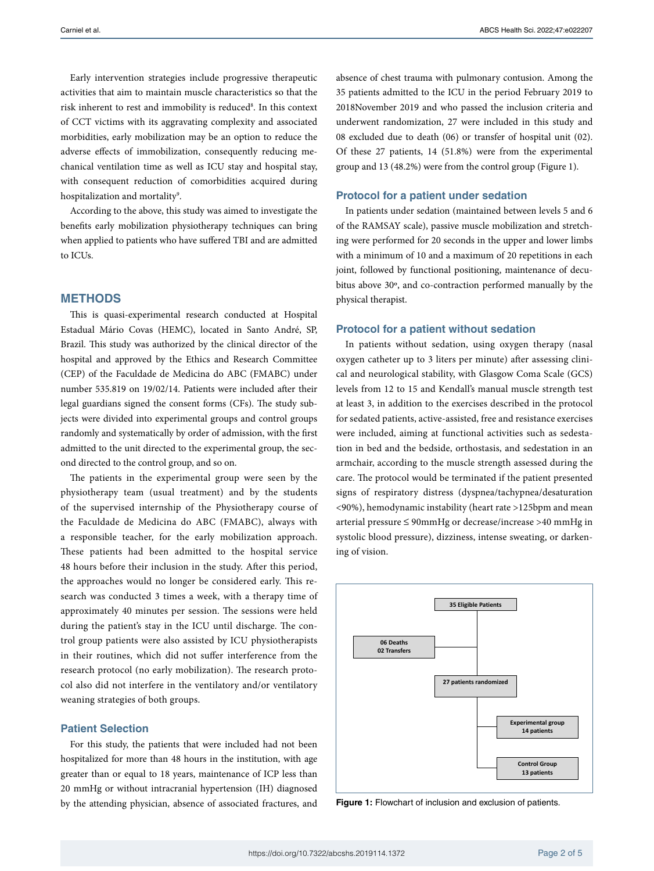Early intervention strategies include progressive therapeutic activities that aim to maintain muscle characteristics so that the risk inherent to rest and immobility is reduced<sup>8</sup>. In this context of CCT victims with its aggravating complexity and associated morbidities, early mobilization may be an option to reduce the adverse effects of immobilization, consequently reducing mechanical ventilation time as well as ICU stay and hospital stay, with consequent reduction of comorbidities acquired during hospitalization and mortality<sup>9</sup>.

According to the above, this study was aimed to investigate the benefits early mobilization physiotherapy techniques can bring when applied to patients who have suffered TBI and are admitted to ICUs.

# **METHODS**

This is quasi-experimental research conducted at Hospital Estadual Mário Covas (HEMC), located in Santo André, SP, Brazil. This study was authorized by the clinical director of the hospital and approved by the Ethics and Research Committee (CEP) of the Faculdade de Medicina do ABC (FMABC) under number 535.819 on 19/02/14. Patients were included after their legal guardians signed the consent forms (CFs). The study subjects were divided into experimental groups and control groups randomly and systematically by order of admission, with the first admitted to the unit directed to the experimental group, the second directed to the control group, and so on.

The patients in the experimental group were seen by the physiotherapy team (usual treatment) and by the students of the supervised internship of the Physiotherapy course of the Faculdade de Medicina do ABC (FMABC), always with a responsible teacher, for the early mobilization approach. These patients had been admitted to the hospital service 48 hours before their inclusion in the study. After this period, the approaches would no longer be considered early. This research was conducted 3 times a week, with a therapy time of approximately 40 minutes per session. The sessions were held during the patient's stay in the ICU until discharge. The control group patients were also assisted by ICU physiotherapists in their routines, which did not suffer interference from the research protocol (no early mobilization). The research protocol also did not interfere in the ventilatory and/or ventilatory weaning strategies of both groups.

## **Patient Selection**

For this study, the patients that were included had not been hospitalized for more than 48 hours in the institution, with age greater than or equal to 18 years, maintenance of ICP less than 20 mmHg or without intracranial hypertension (IH) diagnosed by the attending physician, absence of associated fractures, and

absence of chest trauma with pulmonary contusion. Among the 35 patients admitted to the ICU in the period February 2019 to 2018November 2019 and who passed the inclusion criteria and underwent randomization, 27 were included in this study and 08 excluded due to death (06) or transfer of hospital unit (02). Of these 27 patients, 14 (51.8%) were from the experimental group and 13 (48.2%) were from the control group (Figure 1).

#### **Protocol for a patient under sedation**

In patients under sedation (maintained between levels 5 and 6 of the RAMSAY scale), passive muscle mobilization and stretching were performed for 20 seconds in the upper and lower limbs with a minimum of 10 and a maximum of 20 repetitions in each joint, followed by functional positioning, maintenance of decubitus above 30º, and co-contraction performed manually by the physical therapist.

#### **Protocol for a patient without sedation**

In patients without sedation, using oxygen therapy (nasal oxygen catheter up to 3 liters per minute) after assessing clinical and neurological stability, with Glasgow Coma Scale (GCS) levels from 12 to 15 and Kendall's manual muscle strength test at least 3, in addition to the exercises described in the protocol for sedated patients, active-assisted, free and resistance exercises were included, aiming at functional activities such as sedestation in bed and the bedside, orthostasis, and sedestation in an armchair, according to the muscle strength assessed during the care. The protocol would be terminated if the patient presented signs of respiratory distress (dyspnea/tachypnea/desaturation <90%), hemodynamic instability (heart rate >125bpm and mean arterial pressure ≤ 90mmHg or decrease/increase >40 mmHg in systolic blood pressure), dizziness, intense sweating, or darkening of vision.



**Figure 1:** Flowchart of inclusion and exclusion of patients.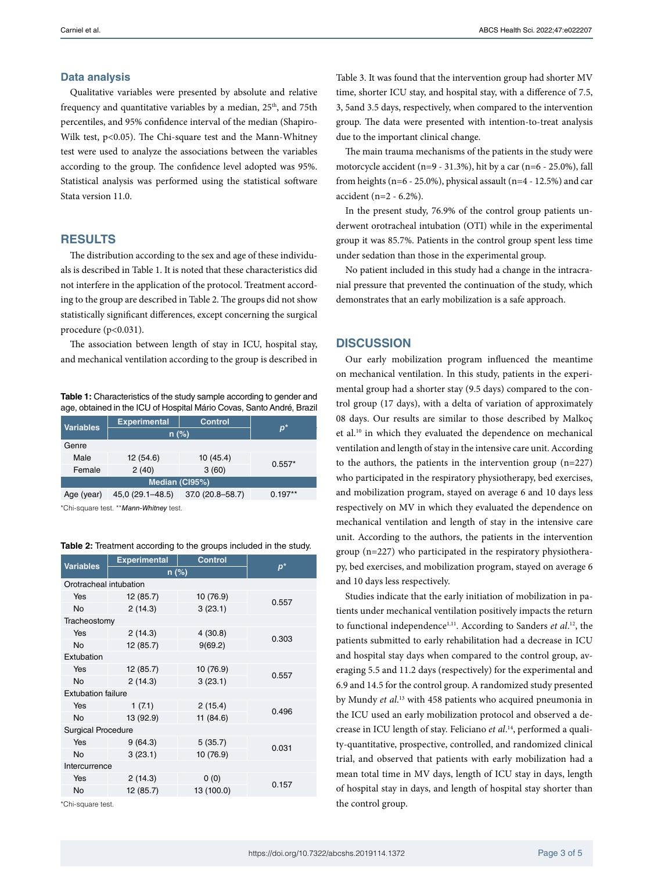#### **Data analysis**

Qualitative variables were presented by absolute and relative frequency and quantitative variables by a median,  $25<sup>th</sup>$ , and  $75th$ percentiles, and 95% confidence interval of the median (Shapiro-Wilk test, p<0.05). The Chi-square test and the Mann-Whitney test were used to analyze the associations between the variables according to the group. The confidence level adopted was 95%. Statistical analysis was performed using the statistical software Stata version 11.0.

### **RESULTS**

The distribution according to the sex and age of these individuals is described in Table 1. It is noted that these characteristics did not interfere in the application of the protocol. Treatment according to the group are described in Table 2. The groups did not show statistically significant differences, except concerning the surgical procedure  $(p<0.031)$ .

The association between length of stay in ICU, hospital stay, and mechanical ventilation according to the group is described in

**Table 1:** Characteristics of the study sample according to gender and age, obtained in the ICU of Hospital Mário Covas, Santo André, Brazil

| <b>Variables</b> | <b>Experimental</b> | <b>Control</b>   |             |  |  |  |
|------------------|---------------------|------------------|-------------|--|--|--|
|                  | $n$ (%)             |                  | $p^{\star}$ |  |  |  |
| Genre            |                     |                  |             |  |  |  |
| Male             | 12 (54.6)           | 10(45.4)         | $0.557*$    |  |  |  |
| Female           | 2(40)               | 3(60)            |             |  |  |  |
| Median (CI95%)   |                     |                  |             |  |  |  |
| Age (year)       | 45,0 (29.1-48.5)    | 37.0 (20.8-58.7) | $0.197**$   |  |  |  |

\*Chi-square test. \*\**Mann-Whitney* test.

#### **Table 2:** Treatment according to the groups included in the study.

| <b>Variables</b>          | <b>Experimental</b> | <b>Control</b> |             |  |  |  |
|---------------------------|---------------------|----------------|-------------|--|--|--|
|                           | $n$ (%)             |                | $p^{\star}$ |  |  |  |
| Orotracheal intubation    |                     |                |             |  |  |  |
| Yes                       | 12 (85.7)           | 10 (76.9)      |             |  |  |  |
| No                        | 2(14.3)             | 3(23.1)        | 0.557       |  |  |  |
| Tracheostomy              |                     |                |             |  |  |  |
| Yes                       | 2(14.3)             | 4(30.8)        |             |  |  |  |
| <b>No</b>                 | 12 (85.7)           | 9(69.2)        | 0.303       |  |  |  |
| Extubation                |                     |                |             |  |  |  |
| Yes                       | 12 (85.7)           | 10 (76.9)      |             |  |  |  |
| <b>No</b>                 | 2(14.3)             | 3(23.1)        | 0.557       |  |  |  |
| <b>Extubation failure</b> |                     |                |             |  |  |  |
| Yes                       | 1(7.1)              | 2(15.4)        | 0.496       |  |  |  |
| No                        | 13 (92.9)           | 11(84.6)       |             |  |  |  |
| <b>Surgical Procedure</b> |                     |                |             |  |  |  |
| Yes                       | 9(64.3)             | 5(35.7)        |             |  |  |  |
| <b>No</b>                 | 3(23.1)             | 10 (76.9)      | 0.031       |  |  |  |
| Intercurrence             |                     |                |             |  |  |  |
| Yes                       | 2(14.3)             | 0(0)           | 0.157       |  |  |  |
| No                        | 12 (85.7)           | 13 (100.0)     |             |  |  |  |

\*Chi-square test.

Table 3. It was found that the intervention group had shorter MV time, shorter ICU stay, and hospital stay, with a difference of 7.5, 3, 5and 3.5 days, respectively, when compared to the intervention group. The data were presented with intention-to-treat analysis due to the important clinical change.

The main trauma mechanisms of the patients in the study were motorcycle accident (n=9 - 31.3%), hit by a car (n=6 - 25.0%), fall from heights ( $n=6 - 25.0\%$ ), physical assault ( $n=4 - 12.5\%$ ) and car accident (n=2 - 6.2%).

In the present study, 76.9% of the control group patients underwent orotracheal intubation (OTI) while in the experimental group it was 85.7%. Patients in the control group spent less time under sedation than those in the experimental group.

No patient included in this study had a change in the intracranial pressure that prevented the continuation of the study, which demonstrates that an early mobilization is a safe approach.

#### **DISCUSSION**

Our early mobilization program influenced the meantime on mechanical ventilation. In this study, patients in the experimental group had a shorter stay (9.5 days) compared to the control group (17 days), with a delta of variation of approximately 08 days. Our results are similar to those described by Malkoç et al.<sup>10</sup> in which they evaluated the dependence on mechanical ventilation and length of stay in the intensive care unit. According to the authors, the patients in the intervention group (n=227) who participated in the respiratory physiotherapy, bed exercises, and mobilization program, stayed on average 6 and 10 days less respectively on MV in which they evaluated the dependence on mechanical ventilation and length of stay in the intensive care unit. According to the authors, the patients in the intervention group (n=227) who participated in the respiratory physiotherapy, bed exercises, and mobilization program, stayed on average 6 and 10 days less respectively.

Studies indicate that the early initiation of mobilization in patients under mechanical ventilation positively impacts the return to functional independence<sup>1,11</sup>. According to Sanders *et al.*<sup>12</sup>, the patients submitted to early rehabilitation had a decrease in ICU and hospital stay days when compared to the control group, averaging 5.5 and 11.2 days (respectively) for the experimental and 6.9 and 14.5 for the control group. A randomized study presented by Mundy *et al*. 13 with 458 patients who acquired pneumonia in the ICU used an early mobilization protocol and observed a decrease in ICU length of stay. Feliciano *et al*. 14, performed a quality-quantitative, prospective, controlled, and randomized clinical trial, and observed that patients with early mobilization had a mean total time in MV days, length of ICU stay in days, length of hospital stay in days, and length of hospital stay shorter than the control group.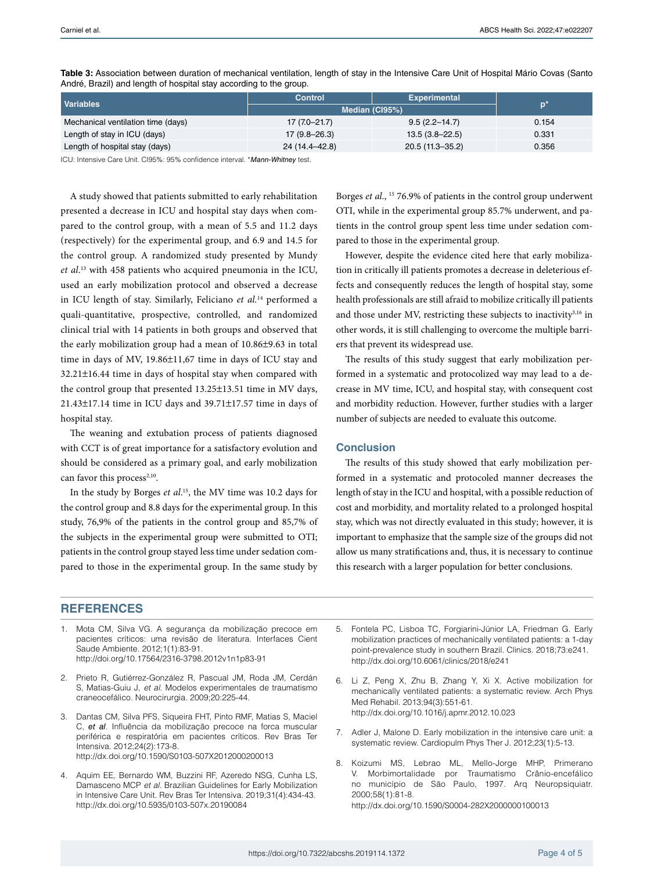| Variables                          | <b>Control</b>   | <b>Experimental</b> |       |  |  |  |
|------------------------------------|------------------|---------------------|-------|--|--|--|
|                                    | Median (CI95%)   | p'                  |       |  |  |  |
| Mechanical ventilation time (days) | $17(7.0 - 21.7)$ | $9.5(2.2 - 14.7)$   | 0.154 |  |  |  |
| Length of stay in ICU (days)       | $17(9.8 - 26.3)$ | $13.5(3.8 - 22.5)$  | 0.331 |  |  |  |
| Length of hospital stay (days)     | 24 (14.4-42.8)   | 20.5 (11.3-35.2)    | 0.356 |  |  |  |

**Table 3:** Association between duration of mechanical ventilation, length of stay in the Intensive Care Unit of Hospital Mário Covas (Santo André, Brazil) and length of hospital stay according to the group.

ICU: Intensive Care Unit. CI95%: 95% confidence interval. \**Mann-Whitney* test.

A study showed that patients submitted to early rehabilitation presented a decrease in ICU and hospital stay days when compared to the control group, with a mean of 5.5 and 11.2 days (respectively) for the experimental group, and 6.9 and 14.5 for the control group. A randomized study presented by Mundy *et al*. 13 with 458 patients who acquired pneumonia in the ICU, used an early mobilization protocol and observed a decrease in ICU length of stay. Similarly, Feliciano *et al.*14 performed a quali-quantitative, prospective, controlled, and randomized clinical trial with 14 patients in both groups and observed that the early mobilization group had a mean of 10.86±9.63 in total time in days of MV, 19.86±11,67 time in days of ICU stay and 32.21±16.44 time in days of hospital stay when compared with the control group that presented 13.25±13.51 time in MV days, 21.43±17.14 time in ICU days and 39.71±17.57 time in days of hospital stay.

The weaning and extubation process of patients diagnosed with CCT is of great importance for a satisfactory evolution and should be considered as a primary goal, and early mobilization can favor this process<sup>2,10</sup>.

In the study by Borges *et al*. 15, the MV time was 10.2 days for the control group and 8.8 days for the experimental group. In this study, 76,9% of the patients in the control group and 85,7% of the subjects in the experimental group were submitted to OTI; patients in the control group stayed less time under sedation compared to those in the experimental group. In the same study by

Borges *et al*., 15 76.9% of patients in the control group underwent OTI, while in the experimental group 85.7% underwent, and patients in the control group spent less time under sedation compared to those in the experimental group.

However, despite the evidence cited here that early mobilization in critically ill patients promotes a decrease in deleterious effects and consequently reduces the length of hospital stay, some health professionals are still afraid to mobilize critically ill patients and those under MV, restricting these subjects to inactivity<sup>3,16</sup> in other words, it is still challenging to overcome the multiple barriers that prevent its widespread use.

The results of this study suggest that early mobilization performed in a systematic and protocolized way may lead to a decrease in MV time, ICU, and hospital stay, with consequent cost and morbidity reduction. However, further studies with a larger number of subjects are needed to evaluate this outcome.

#### **Conclusion**

The results of this study showed that early mobilization performed in a systematic and protocoled manner decreases the length of stay in the ICU and hospital, with a possible reduction of cost and morbidity, and mortality related to a prolonged hospital stay, which was not directly evaluated in this study; however, it is important to emphasize that the sample size of the groups did not allow us many stratifications and, thus, it is necessary to continue this research with a larger population for better conclusions.

# **REFERENCES**

- 1. Mota CM, Silva VG. A segurança da mobilização precoce em pacientes críticos: uma revisão de literatura. Interfaces Cient Saude Ambiente. 2012;1(1):83-91. [http://doi.org/10.17564/2316-3798.2012v1n1p83-91](http://dx.doi.org/10.17564/2316-3798.2012v1n1p83-91)
- 2. Prieto R, Gutiérrez-González R, Pascual JM, Roda JM, Cerdán S, Matias-Guiu J, *et al.* Modelos experimentales de traumatismo craneocefálico. Neurocirurgia. 2009;20:225-44.
- 3. Dantas CM, Silva PFS, Siqueira FHT, Pinto RMF, Matias S, Maciel C, *et al*. Influência da mobilização precoce na forca muscular periférica e respiratória em pacientes críticos. Rev Bras Ter Intensiva. 2012;24(2):173-8. <http://dx.doi.org/10.1590/S0103-507X2012000200013>
- Aquim EE, Bernardo WM, Buzzini RF, Azeredo NSG, Cunha LS, Damasceno MCP *et al.* Brazilian Guidelines for Early Mobilization in Intensive Care Unit. Rev Bras Ter Intensiva. 2019;31(4):434-43. <http://dx.doi.org/10.5935/0103-507x.20190084>
- 5. Fontela PC, Lisboa TC, Forgiarini-Júnior LA, Friedman G. Early mobilization practices of mechanically ventilated patients: a 1-day point-prevalence study in southern Brazil. Clinics. 2018;73:e241. <http://dx.doi.org/10.6061/clinics/2018/e241>
- 6. Li Z, Peng X, Zhu B, Zhang Y, Xi X. Active mobilization for mechanically ventilated patients: a systematic review. Arch Phys Med Rehabil. 2013;94(3):551-61. <http://dx.doi.org/10.1016/j.apmr.2012.10.023>
- 7. Adler J, Malone D. Early mobilization in the intensive care unit: a systematic review. Cardiopulm Phys Ther J. 2012;23(1):5-13.
- 8. Koizumi MS, [Lebrao ML](http://www.scielo.br/cgi-bin/wxis.exe/iah/?IsisScript=iah/iah.xis&base=article%5Edlibrary&format=iso.pft&lang=i&nextAction=lnk&indexSearch=AU&exprSearch=LEBRAO,+MARIA+LUCIA), [Mello-Jorge MHP,](http://www.scielo.br/cgi-bin/wxis.exe/iah/?IsisScript=iah/iah.xis&base=article%5Edlibrary&format=iso.pft&lang=i&nextAction=lnk&indexSearch=AU&exprSearch=MELLO-JORGE,+MARIA+HELENE+PRADO+DE) [Primerano](http://www.scielo.br/cgi-bin/wxis.exe/iah/?IsisScript=iah/iah.xis&base=article%5Edlibrary&format=iso.pft&lang=i&nextAction=lnk&indexSearch=AU&exprSearch=PRIMERANO,+VANESSA) [V](http://www.scielo.br/cgi-bin/wxis.exe/iah/?IsisScript=iah/iah.xis&base=article%5Edlibrary&format=iso.pft&lang=i&nextAction=lnk&indexSearch=AU&exprSearch=PRIMERANO,+VANESSA). Morbimortalidade por Traumatismo Crânio-encefálico no município de São Paulo, 1997. Arq Neuropsiquiatr. 2000;58(1):81-8. <http://dx.doi.org/10.1590/S0004-282X2000000100013>